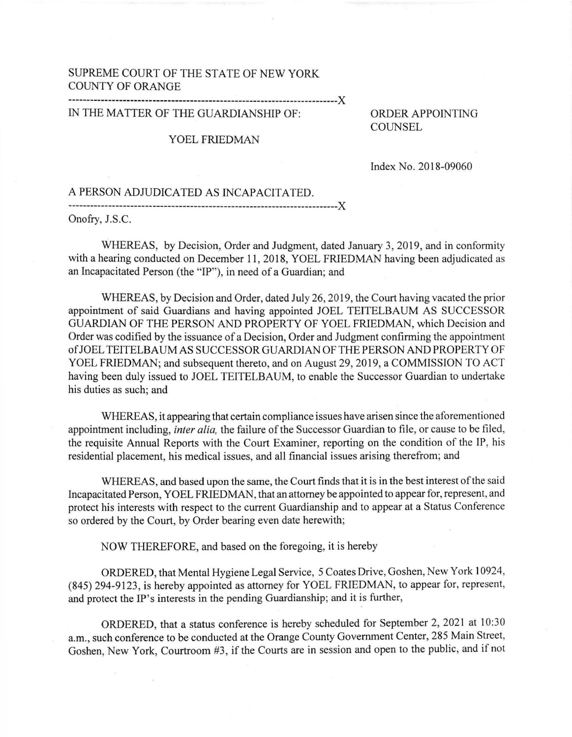## SUPREME COURT OF THE STATE OF NEW YORK COUNTY OF ORANGE

X

## IN THE MATTER OF THE GUARDIANSHIP OF:

## YOEL FRIEDMAN

ORDER APPOINTING COUNSEL

Index No. 2018-09060

A PERSON ADJUDICATED AS INCAPACITATED. X

Onofry, J.S.C

WHEREAS, by Decision, Order and Judgment, dated January 3, 2019, and in conformity with a hearing conducted on December 11, 2018, YOEL FRIEDMAN having been adjudicated as an Incapacitated Person (the "lP"), in need of a Guardian; and

WHEREAS, by Decision and Order, dated July 26, 2019, the Court having vacated the prior appointment of said Guardians and having appointed JOEL TEITELBAUM AS SUCCESSOR GUARDIAN OF THE PERSON AND PROPERTY OF YOEL FRIEDMAN, which Decision and Order was codified by the issuance of a Decision, Order and Judgment confirming the appointment ofJOELTEITELBAUMAS SUCCESSORGUARDIAN OFTHEPERSON ANDPROPERTY OF YOEL FRIEDMAN; and subsequent thereto, and on August 29,2019, a COMMISSION TO ACT having been duly issued to JOEL TEITELBAUM, to enable the Successor Guardian to undertake his duties as such; and

WHEREAS, it appearing that certain compliance issues have arisen since the aforementioned appointment including, *inter alia*, the failure of the Successor Guardian to file, or cause to be filed, the requisite Annual Reports with the Court Examiner, reporting on the condition of the IP, his residential placement, his medical issues, and all financial issues arising therefrom; and

WHEREAS, and based upon the same, the Court finds that it is in the best interest of the said Incapacitated Person, YOEL FRIEDMAN, that an attorney be appointed to appear for, represent, and protect his interests with respect to the current Guardianship and to appear at a Status Conference so ordered by the Court, by Order bearing even date herewith;

NOW THEREFORE, and based on the foregoing, it is hereby

ORDERED, that Mental Hygiene Legal Service, 5 Coates Drive, Goshen, New York 10924, (845) 294-9123, is hereby appointed as attomey for YOEL FRIEDMAN, to appear for, represent, and protect the IP's interests in the pending Guardianship; and it is further,

ORDERED, that a status conference is hereby scheduled for September 2,2021 at 10:30 a.m., such conference to be conducted at the Orange County Government Center, 285 Main Street, Goshen, New York, Courtroom #3, if the Courts are in session and open to the public, and if not